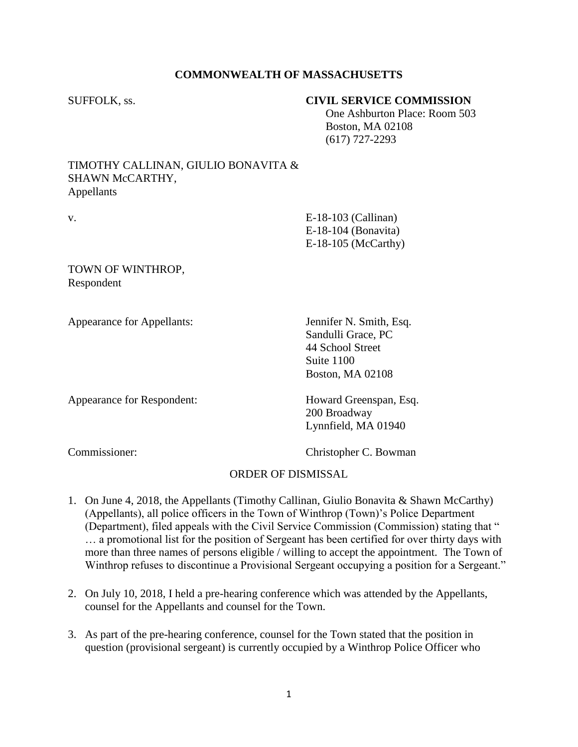# **COMMONWEALTH OF MASSACHUSETTS**

# SUFFOLK, ss. **CIVIL SERVICE COMMISSION**

 One Ashburton Place: Room 503 Boston, MA 02108 (617) 727-2293

## TIMOTHY CALLINAN, GIULIO BONAVITA & SHAWN McCARTHY, Appellants

v. E-18-103 (Callinan) E-18-104 (Bonavita) E-18-105 (McCarthy)

TOWN OF WINTHROP, Respondent

Appearance for Appellants: Jennifer N. Smith, Esq.

Sandulli Grace, PC 44 School Street Suite 1100 Boston, MA 02108

Appearance for Respondent: Howard Greenspan, Esq.

200 Broadway Lynnfield, MA 01940

Commissioner: Christopher C. Bowman

# ORDER OF DISMISSAL

- 1. On June 4, 2018, the Appellants (Timothy Callinan, Giulio Bonavita & Shawn McCarthy) (Appellants), all police officers in the Town of Winthrop (Town)'s Police Department (Department), filed appeals with the Civil Service Commission (Commission) stating that " … a promotional list for the position of Sergeant has been certified for over thirty days with more than three names of persons eligible / willing to accept the appointment. The Town of Winthrop refuses to discontinue a Provisional Sergeant occupying a position for a Sergeant."
- 2. On July 10, 2018, I held a pre-hearing conference which was attended by the Appellants, counsel for the Appellants and counsel for the Town.
- 3. As part of the pre-hearing conference, counsel for the Town stated that the position in question (provisional sergeant) is currently occupied by a Winthrop Police Officer who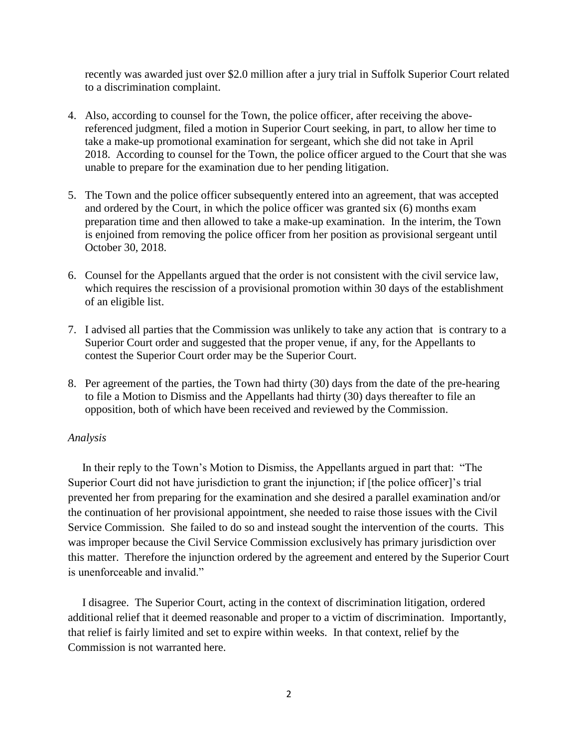recently was awarded just over \$2.0 million after a jury trial in Suffolk Superior Court related to a discrimination complaint.

- 4. Also, according to counsel for the Town, the police officer, after receiving the abovereferenced judgment, filed a motion in Superior Court seeking, in part, to allow her time to take a make-up promotional examination for sergeant, which she did not take in April 2018. According to counsel for the Town, the police officer argued to the Court that she was unable to prepare for the examination due to her pending litigation.
- 5. The Town and the police officer subsequently entered into an agreement, that was accepted and ordered by the Court, in which the police officer was granted six (6) months exam preparation time and then allowed to take a make-up examination. In the interim, the Town is enjoined from removing the police officer from her position as provisional sergeant until October 30, 2018.
- 6. Counsel for the Appellants argued that the order is not consistent with the civil service law, which requires the rescission of a provisional promotion within 30 days of the establishment of an eligible list.
- 7. I advised all parties that the Commission was unlikely to take any action that is contrary to a Superior Court order and suggested that the proper venue, if any, for the Appellants to contest the Superior Court order may be the Superior Court.
- 8. Per agreement of the parties, the Town had thirty (30) days from the date of the pre-hearing to file a Motion to Dismiss and the Appellants had thirty (30) days thereafter to file an opposition, both of which have been received and reviewed by the Commission.

## *Analysis*

 In their reply to the Town's Motion to Dismiss, the Appellants argued in part that: "The Superior Court did not have jurisdiction to grant the injunction; if [the police officer]'s trial prevented her from preparing for the examination and she desired a parallel examination and/or the continuation of her provisional appointment, she needed to raise those issues with the Civil Service Commission. She failed to do so and instead sought the intervention of the courts. This was improper because the Civil Service Commission exclusively has primary jurisdiction over this matter. Therefore the injunction ordered by the agreement and entered by the Superior Court is unenforceable and invalid."

 I disagree. The Superior Court, acting in the context of discrimination litigation, ordered additional relief that it deemed reasonable and proper to a victim of discrimination. Importantly, that relief is fairly limited and set to expire within weeks. In that context, relief by the Commission is not warranted here.